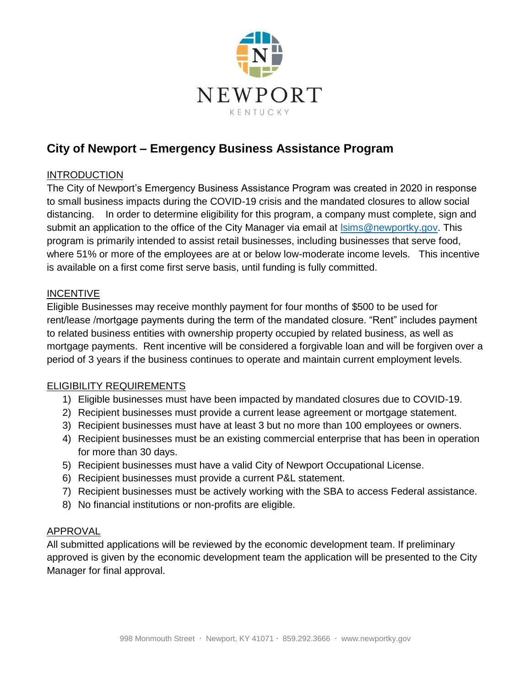

# **City of Newport – Emergency Business Assistance Program**

# INTRODUCTION

The City of Newport's Emergency Business Assistance Program was created in 2020 in response to small business impacts during the COVID-19 crisis and the mandated closures to allow social distancing. In order to determine eligibility for this program, a company must complete, sign and submit an application to the office of the City Manager via email at Isims@newportky.gov. This program is primarily intended to assist retail businesses, including businesses that serve food, where 51% or more of the employees are at or below low-moderate income levels. This incentive is available on a first come first serve basis, until funding is fully committed.

# INCENTIVE

Eligible Businesses may receive monthly payment for four months of \$500 to be used for rent/lease /mortgage payments during the term of the mandated closure. "Rent" includes payment to related business entities with ownership property occupied by related business, as well as mortgage payments. Rent incentive will be considered a forgivable loan and will be forgiven over a period of 3 years if the business continues to operate and maintain current employment levels.

## ELIGIBILITY REQUIREMENTS

- 1) Eligible businesses must have been impacted by mandated closures due to COVID-19.
- 2) Recipient businesses must provide a current lease agreement or mortgage statement.
- 3) Recipient businesses must have at least 3 but no more than 100 employees or owners.
- 4) Recipient businesses must be an existing commercial enterprise that has been in operation for more than 30 days.
- 5) Recipient businesses must have a valid City of Newport Occupational License.
- 6) Recipient businesses must provide a current P&L statement.
- 7) Recipient businesses must be actively working with the SBA to access Federal assistance.
- 8) No financial institutions or non-profits are eligible.

## **APPROVAL**

All submitted applications will be reviewed by the economic development team. If preliminary approved is given by the economic development team the application will be presented to the City Manager for final approval.